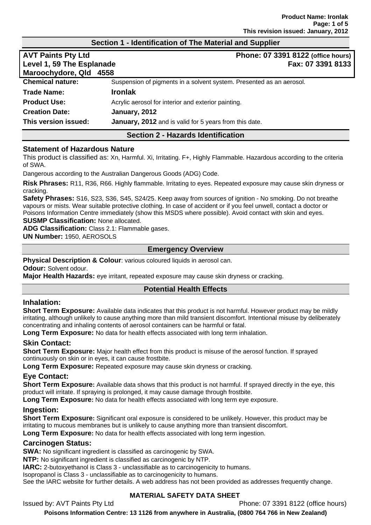#### **Section 1 - Identification of The Material and Supplier**

| <b>AVT Paints Pty Ltd</b><br>Level 1, 59 The Esplanade<br>Maroochydore, Qld | Phone: 07 3391 8122 (office hours)<br>Fax: 07 3391 8133<br>4558      |
|-----------------------------------------------------------------------------|----------------------------------------------------------------------|
| <b>Chemical nature:</b>                                                     | Suspension of pigments in a solvent system. Presented as an aerosol. |
| Trade Name:                                                                 | <b>Ironlak</b>                                                       |
| <b>Product Use:</b>                                                         | Acrylic aerosol for interior and exterior painting.                  |
| <b>Creation Date:</b>                                                       | January, 2012                                                        |
| This version issued:                                                        | <b>January, 2012</b> and is valid for 5 years from this date.        |
|                                                                             | <b>Section 2 - Hazards Identification</b>                            |

#### **Statement of Hazardous Nature**

This product is classified as: Xn, Harmful. Xi, Irritating. F+, Highly Flammable. Hazardous according to the criteria of SWA.

Dangerous according to the Australian Dangerous Goods (ADG) Code.

**Risk Phrases:** R11, R36, R66. Highly flammable. Irritating to eyes. Repeated exposure may cause skin dryness or cracking.

**Safety Phrases:** S16, S23, S36, S45, S24/25. Keep away from sources of ignition - No smoking. Do not breathe vapours or mists. Wear suitable protective clothing. In case of accident or if you feel unwell, contact a doctor or Poisons Information Centre immediately (show this MSDS where possible). Avoid contact with skin and eyes. **SUSMP Classification:** None allocated.

**ADG Classification:** Class 2.1: Flammable gases.

**UN Number:** 1950, AEROSOLS

## **Emergency Overview**

**Physical Description & Colour**: various coloured liquids in aerosol can.

**Odour:** Solvent odour.

**Major Health Hazards:** eye irritant, repeated exposure may cause skin dryness or cracking.

## **Potential Health Effects**

#### **Inhalation:**

**Short Term Exposure:** Available data indicates that this product is not harmful. However product may be mildly irritating, although unlikely to cause anything more than mild transient discomfort. Intentional misuse by deliberately concentrating and inhaling contents of aerosol containers can be harmful or fatal.

**Long Term Exposure:** No data for health effects associated with long term inhalation.

## **Skin Contact:**

**Short Term Exposure:** Major health effect from this product is misuse of the aerosol function. If sprayed continuously on skin or in eyes, it can cause frostbite.

**Long Term Exposure:** Repeated exposure may cause skin dryness or cracking.

## **Eye Contact:**

**Short Term Exposure:** Available data shows that this product is not harmful. If sprayed directly in the eye, this product will irritate. If spraying is prolonged, it may cause damage through frostbite.

**Long Term Exposure:** No data for health effects associated with long term eye exposure.

#### **Ingestion:**

**Short Term Exposure:** Significant oral exposure is considered to be unlikely. However, this product may be irritating to mucous membranes but is unlikely to cause anything more than transient discomfort. **Long Term Exposure:** No data for health effects associated with long term ingestion.

## **Carcinogen Status:**

**SWA:** No significant ingredient is classified as carcinogenic by SWA.

**NTP:** No significant ingredient is classified as carcinogenic by NTP.

**IARC:** 2-butoxyethanol is Class 3 - unclassifiable as to carcinogenicity to humans.

Isopropanol is Class 3 - unclassifiable as to carcinogenicity to humans.

See the IARC website for further details. A web address has not been provided as addresses frequently change.

## **MATERIAL SAFETY DATA SHEET**

Issued by: AVT Paints Pty Ltd Phone: 07 3391 8122 (office hours)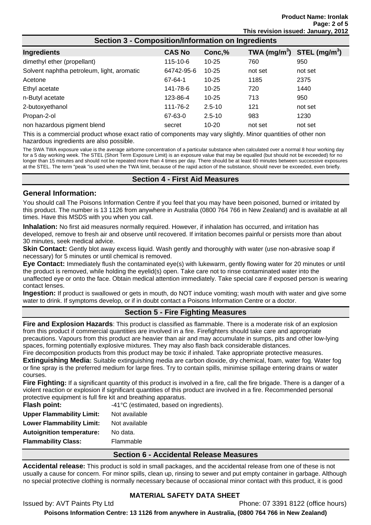| <b>Section 3 - Composition/Information on Ingredients</b> |               |            |                          |                           |  |
|-----------------------------------------------------------|---------------|------------|--------------------------|---------------------------|--|
| Ingredients                                               | <b>CAS No</b> | Conc,%     | TWA (mg/m <sup>3</sup> ) | STEL (mg/m <sup>3</sup> ) |  |
| dimethyl ether (propellant)                               | 115-10-6      | $10 - 25$  | 760                      | 950                       |  |
| Solvent naphtha petroleum, light, aromatic                | 64742-95-6    | $10 - 25$  | not set                  | not set                   |  |
| Acetone                                                   | 67-64-1       | $10 - 25$  | 1185                     | 2375                      |  |
| Ethyl acetate                                             | 141-78-6      | $10 - 25$  | 720                      | 1440                      |  |
| n-Butyl acetate                                           | 123-86-4      | $10 - 25$  | 713                      | 950                       |  |
| 2-butoxyethanol                                           | 111-76-2      | $2.5 - 10$ | 121                      | not set                   |  |
| Propan-2-ol                                               | 67-63-0       | $2.5 - 10$ | 983                      | 1230                      |  |
| non hazardous pigment blend                               | secret        | $10 - 20$  | not set                  | not set                   |  |
|                                                           |               |            |                          |                           |  |

This is a commercial product whose exact ratio of components may vary slightly. Minor quantities of other non hazardous ingredients are also possible.

The SWA TWA exposure value is the average airborne concentration of a particular substance when calculated over a normal 8 hour working day for a 5 day working week. The STEL (Short Term Exposure Limit) is an exposure value that may be equalled (but should not be exceeded) for no longer than 15 minutes and should not be repeated more than 4 times per day. There should be at least 60 minutes between successive exposures at the STEL. The term "peak "is used when the TWA limit, because of the rapid action of the substance, should never be exceeded, even briefly.

#### **Section 4 - First Aid Measures**

#### **General Information:**

You should call The Poisons Information Centre if you feel that you may have been poisoned, burned or irritated by this product. The number is 13 1126 from anywhere in Australia (0800 764 766 in New Zealand) and is available at all times. Have this MSDS with you when you call.

**Inhalation:** No first aid measures normally required. However, if inhalation has occurred, and irritation has developed, remove to fresh air and observe until recovered. If irritation becomes painful or persists more than about 30 minutes, seek medical advice.

**Skin Contact:** Gently blot away excess liquid. Wash gently and thoroughly with water (use non-abrasive soap if necessary) for 5 minutes or until chemical is removed.

**Eye Contact:** Immediately flush the contaminated eye(s) with lukewarm, gently flowing water for 20 minutes or until the product is removed, while holding the eyelid(s) open. Take care not to rinse contaminated water into the unaffected eye or onto the face. Obtain medical attention immediately. Take special care if exposed person is wearing contact lenses.

**Ingestion:** If product is swallowed or gets in mouth, do NOT induce vomiting; wash mouth with water and give some water to drink. If symptoms develop, or if in doubt contact a Poisons Information Centre or a doctor.

## **Section 5 - Fire Fighting Measures**

**Fire and Explosion Hazards**: This product is classified as flammable. There is a moderate risk of an explosion from this product if commercial quantities are involved in a fire. Firefighters should take care and appropriate precautions. Vapours from this product are heavier than air and may accumulate in sumps, pits and other low-lying spaces, forming potentially explosive mixtures. They may also flash back considerable distances.

Fire decomposition products from this product may be toxic if inhaled. Take appropriate protective measures.

**Extinguishing Media:** Suitable extinguishing media are carbon dioxide, dry chemical, foam, water fog. Water fog or fine spray is the preferred medium for large fires. Try to contain spills, minimise spillage entering drains or water courses.

**Fire Fighting:** If a significant quantity of this product is involved in a fire, call the fire brigade. There is a danger of a violent reaction or explosion if significant quantities of this product are involved in a fire. Recommended personal protective equipment is full fire kit and breathing apparatus.

| <b>Flash point:</b>              | -41°C (estimated, based on ingredients). |
|----------------------------------|------------------------------------------|
| <b>Upper Flammability Limit:</b> | Not available                            |
| <b>Lower Flammability Limit:</b> | Not available                            |
| <b>Autoignition temperature:</b> | No data.                                 |
| <b>Flammability Class:</b>       | Flammable                                |
|                                  |                                          |

#### **Section 6 - Accidental Release Measures**

**Accidental release:** This product is sold in small packages, and the accidental release from one of these is not usually a cause for concern. For minor spills, clean up, rinsing to sewer and put empty container in garbage. Although no special protective clothing is normally necessary because of occasional minor contact with this product, it is good

## **MATERIAL SAFETY DATA SHEET**

Issued by: AVT Paints Pty Ltd Phone: 07 3391 8122 (office hours)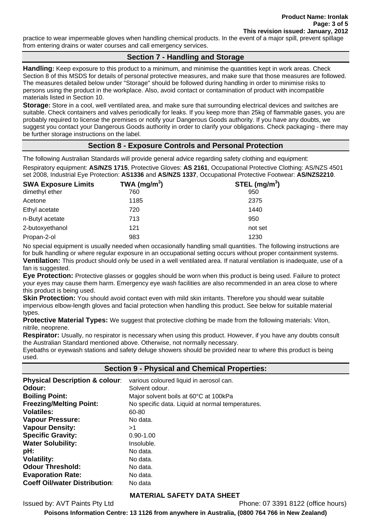practice to wear impermeable gloves when handling chemical products. In the event of a major spill, prevent spillage from entering drains or water courses and call emergency services.

# **Section 7 - Handling and Storage**

**Handling:** Keep exposure to this product to a minimum, and minimise the quantities kept in work areas. Check Section 8 of this MSDS for details of personal protective measures, and make sure that those measures are followed. The measures detailed below under "Storage" should be followed during handling in order to minimise risks to persons using the product in the workplace. Also, avoid contact or contamination of product with incompatible materials listed in Section 10.

**Storage:** Store in a cool, well ventilated area, and make sure that surrounding electrical devices and switches are suitable. Check containers and valves periodically for leaks. If you keep more than 25kg of flammable gases, you are probably required to license the premises or notify your Dangerous Goods authority. If you have any doubts, we suggest you contact your Dangerous Goods authority in order to clarify your obligations. Check packaging - there may be further storage instructions on the label.

## **Section 8 - Exposure Controls and Personal Protection**

The following Australian Standards will provide general advice regarding safety clothing and equipment:

Respiratory equipment: **AS/NZS 1715**, Protective Gloves: **AS 2161**, Occupational Protective Clothing: AS/NZS 4501 set 2008, Industrial Eye Protection: **AS1336** and **AS/NZS 1337**, Occupational Protective Footwear: **AS/NZS2210**.

| <b>SWA Exposure Limits</b> | TWA ( $mg/m3$ ) | STEL $(mg/m3)$ |
|----------------------------|-----------------|----------------|
| dimethyl ether             | 760             | 950            |
| Acetone                    | 1185            | 2375           |
| Ethyl acetate              | 720             | 1440           |
| n-Butyl acetate            | 713             | 950            |
| 2-butoxyethanol            | 121             | not set        |
| Propan-2-ol                | 983             | 1230           |

No special equipment is usually needed when occasionally handling small quantities. The following instructions are for bulk handling or where regular exposure in an occupational setting occurs without proper containment systems. **Ventilation:** This product should only be used in a well ventilated area. If natural ventilation is inadequate, use of a fan is suggested.

**Eye Protection:** Protective glasses or goggles should be worn when this product is being used. Failure to protect your eyes may cause them harm. Emergency eye wash facilities are also recommended in an area close to where this product is being used.

**Skin Protection:** You should avoid contact even with mild skin irritants. Therefore you should wear suitable impervious elbow-length gloves and facial protection when handling this product. See below for suitable material types.

**Protective Material Types:** We suggest that protective clothing be made from the following materials: Viton, nitrile, neoprene.

**Respirator:** Usually, no respirator is necessary when using this product. However, if you have any doubts consult the Australian Standard mentioned above. Otherwise, not normally necessary.

Eyebaths or eyewash stations and safety deluge showers should be provided near to where this product is being used.

## **Section 9 - Physical and Chemical Properties:**

| <b>Physical Description &amp; colour:</b> | various coloured liquid in aerosol can.          |
|-------------------------------------------|--------------------------------------------------|
| Odour:                                    | Solvent odour.                                   |
| <b>Boiling Point:</b>                     | Major solvent boils at 60°C at 100kPa            |
| <b>Freezing/Melting Point:</b>            | No specific data. Liquid at normal temperatures. |
| <b>Volatiles:</b>                         | 60-80                                            |
| <b>Vapour Pressure:</b>                   | No data.                                         |
| <b>Vapour Density:</b>                    | >1                                               |
| <b>Specific Gravity:</b>                  | $0.90 - 1.00$                                    |
| <b>Water Solubility:</b>                  | Insoluble.                                       |
| pH:                                       | No data.                                         |
| <b>Volatility:</b>                        | No data.                                         |
| <b>Odour Threshold:</b>                   | No data.                                         |
| <b>Evaporation Rate:</b>                  | No data.                                         |
| <b>Coeff Oil/water Distribution:</b>      | No data                                          |

## **MATERIAL SAFETY DATA SHEET**

Issued by: AVT Paints Pty Ltd Phone: 07 3391 8122 (office hours)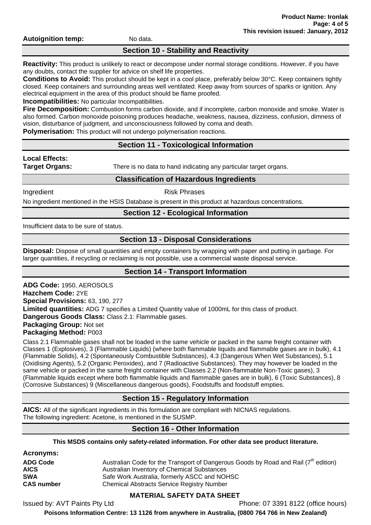**Autoignition temp:** No data.

## **Section 10 - Stability and Reactivity**

**Reactivity:** This product is unlikely to react or decompose under normal storage conditions. However, if you have any doubts, contact the supplier for advice on shelf life properties.

**Conditions to Avoid:** This product should be kept in a cool place, preferably below 30°C. Keep containers tightly closed. Keep containers and surrounding areas well ventilated. Keep away from sources of sparks or ignition. Any electrical equipment in the area of this product should be flame proofed.

**Incompatibilities:** No particular Incompatibilities.

**Fire Decomposition:** Combustion forms carbon dioxide, and if incomplete, carbon monoxide and smoke. Water is also formed. Carbon monoxide poisoning produces headache, weakness, nausea, dizziness, confusion, dimness of vision, disturbance of judgment, and unconsciousness followed by coma and death.

**Polymerisation:** This product will not undergo polymerisation reactions.

# **Section 11 - Toxicological Information**

**Local Effects:** 

**Target Organs:** There is no data to hand indicating any particular target organs.

## **Classification of Hazardous Ingredients**

Ingredient **Risk Phrases** 

No ingredient mentioned in the HSIS Database is present in this product at hazardous concentrations.

# **Section 12 - Ecological Information**

Insufficient data to be sure of status.

# **Section 13 - Disposal Considerations**

**Disposal:** Dispose of small quantities and empty containers by wrapping with paper and putting in garbage. For larger quantities, if recycling or reclaiming is not possible, use a commercial waste disposal service.

## **Section 14 - Transport Information**

**ADG Code:** 1950, AEROSOLS **Hazchem Code:** 2YE **Special Provisions:** 63, 190, 277 **Limited quantities:** ADG 7 specifies a Limited Quantity value of 1000mL for this class of product. **Dangerous Goods Class:** Class 2.1: Flammable gases. **Packaging Group:** Not set **Packaging Method:** P003

Class 2.1 Flammable gases shall not be loaded in the same vehicle or packed in the same freight container with Classes 1 (Explosives), 3 (Flammable Liquids) (where both flammable liquids and flammable gases are in bulk), 4.1 (Flammable Solids), 4.2 (Spontaneously Combustible Substances), 4.3 (Dangerous When Wet Substances), 5.1 (Oxidising Agents), 5.2 (Organic Peroxides), and 7 (Radioactive Substances). They may however be loaded in the same vehicle or packed in the same freight container with Classes 2.2 (Non-flammable Non-Toxic gases), 3 (Flammable liquids except where both flammable liquids and flammable gases are in bulk), 6 (Toxic Substances), 8 (Corrosive Substances) 9 (Miscellaneous dangerous goods), Foodstuffs and foodstuff empties.

# **Section 15 - Regulatory Information**

**AICS:** All of the significant ingredients in this formulation are compliant with NICNAS regulations. The following ingredient: Acetone, is mentioned in the SUSMP.

# **Section 16 - Other Information**

**This MSDS contains only safety-related information. For other data see product literature.** 

**Acronyms:** 

| <b>ADG Code</b><br><b>AICS</b> | Australian Code for the Transport of Dangerous Goods by Road and Rail $(7^{th}$ edition)<br>Australian Inventory of Chemical Substances |
|--------------------------------|-----------------------------------------------------------------------------------------------------------------------------------------|
| <b>SWA</b>                     | Safe Work Australia, formerly ASCC and NOHSC                                                                                            |
| <b>CAS number</b>              | <b>Chemical Abstracts Service Registry Number</b>                                                                                       |

# **MATERIAL SAFETY DATA SHEET**

Issued by: AVT Paints Pty Ltd Phone: 07 3391 8122 (office hours)